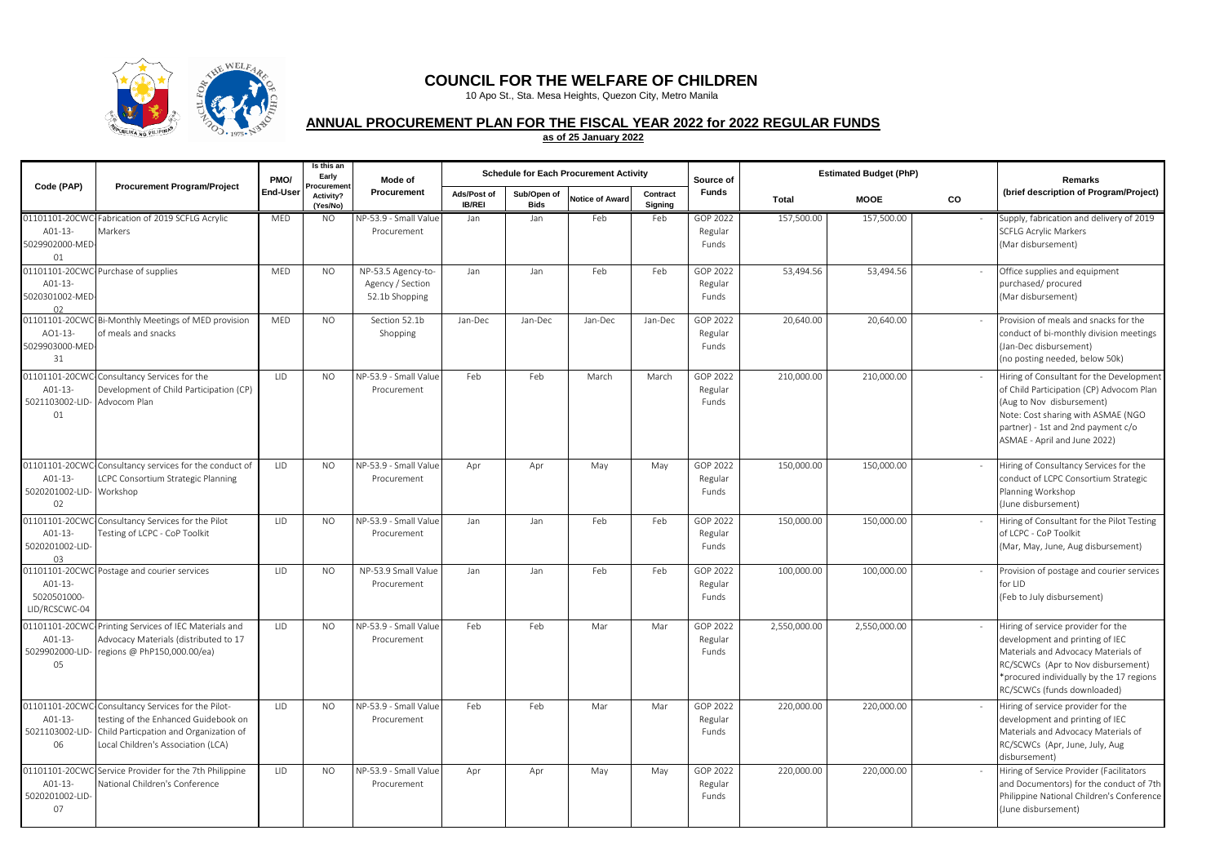

## **COUNCIL FOR THE WELFARE OF CHILDREN**

10 Apo St., Sta. Mesa Heights, Quezon City, Metro Manila

## **ANNUAL PROCUREMENT PLAN FOR THE FISCAL YEAR 2022 for 2022 REGULAR FUNDS**

**as of 25 January 2022**

| Code (PAP)                                                     | <b>Procurement Program/Project</b>                                                                                                                                         | PMO/       | Is this an<br>Early<br>Procuremen | Mode of                                                  |                              |                            | <b>Schedule for Each Procurement Activity</b> |                     | Source of                    |              | <b>Estimated Budget (PhP)</b> |    | <b>Remarks</b>                                                                                                                                                                                                                |
|----------------------------------------------------------------|----------------------------------------------------------------------------------------------------------------------------------------------------------------------------|------------|-----------------------------------|----------------------------------------------------------|------------------------------|----------------------------|-----------------------------------------------|---------------------|------------------------------|--------------|-------------------------------|----|-------------------------------------------------------------------------------------------------------------------------------------------------------------------------------------------------------------------------------|
|                                                                |                                                                                                                                                                            | End-User   | Activity?<br>(Yes/No)             | Procurement                                              | Ads/Post of<br><b>IB/REI</b> | Sub/Open of<br><b>Bids</b> | <b>Notice of Award</b>                        | Contract<br>Signing | <b>Funds</b>                 | Total        | <b>MOOE</b>                   | CO | (brief description of Program/Project)                                                                                                                                                                                        |
| A01-13-<br>5029902000-MED<br>01                                | 01101101-20CWC-Fabrication of 2019 SCFLG Acrylic<br>Markers                                                                                                                | MED        | NO.                               | NP-53.9 - Small Value<br>Procurement                     | Jan                          | Jan                        | Feb                                           | Feb                 | GOP 2022<br>Regular<br>Funds | 157,500.00   | 157,500.00                    |    | Supply, fabrication and delivery of 2019<br><b>SCFLG Acrylic Markers</b><br>(Mar disbursement)                                                                                                                                |
| A01-13-<br>5020301002-MED-<br>02                               | 01101101-20CWC-Purchase of supplies                                                                                                                                        | <b>MED</b> | <b>NO</b>                         | NP-53.5 Agency-to-<br>Agency / Section<br>52.1b Shopping | Jan                          | Jan                        | Feb                                           | Feb                 | GOP 2022<br>Regular<br>Funds | 53,494.56    | 53,494.56                     |    | Office supplies and equipment<br>purchased/procured<br>(Mar disbursement)                                                                                                                                                     |
| AO1-13-<br>5029903000-MED-<br>31                               | 01101101-20CWC-Bi-Monthly Meetings of MED provision<br>of meals and snacks                                                                                                 | MED        | NO.                               | Section 52.1b<br>Shopping                                | Jan-Dec                      | Jan-Dec                    | Jan-Dec                                       | Jan-Dec             | GOP 2022<br>Regular<br>Funds | 20,640.00    | 20,640.00                     |    | Provision of meals and snacks for the<br>conduct of bi-monthly division meetings<br>(Jan-Dec disbursement)<br>(no posting needed, below 50k)                                                                                  |
| 01101101-20CW<br>A01-13-<br>5021103002-LID- Advocom Plan<br>01 | Consultancy Services for the<br>Development of Child Participation (CP)                                                                                                    | LID        | <b>NO</b>                         | NP-53.9 - Small Value<br>Procurement                     | Feb                          | Feb                        | March                                         | March               | GOP 2022<br>Regular<br>Funds | 210,000.00   | 210,000.00                    |    | Hiring of Consultant for the Development<br>of Child Participation (CP) Advocom Plan<br>(Aug to Nov disbursement)<br>Note: Cost sharing with ASMAE (NGO<br>partner) - 1st and 2nd payment c/o<br>ASMAE - April and June 2022) |
| A01-13-<br>5020201002-LID- Workshop<br>02                      | 01101101-20CWC-Consultancy services for the conduct of<br>LCPC Consortium Strategic Planning                                                                               | 11D        | N <sub>O</sub>                    | NP-53.9 - Small Value<br>Procurement                     | Apr                          | Apr                        | May                                           | May                 | GOP 2022<br>Regular<br>Funds | 150,000.00   | 150,000.00                    |    | Hiring of Consultancy Services for the<br>conduct of LCPC Consortium Strategic<br>Planning Workshop<br>(June disbursement)                                                                                                    |
| A01-13-<br>5020201002-LID-<br>03                               | 01101101-20CWC-Consultancy Services for the Pilot<br>Testing of LCPC - CoP Toolkit                                                                                         | <b>LID</b> | NO.                               | NP-53.9 - Small Value<br>Procurement                     | Jan                          | Jan                        | Feb                                           | Feb                 | GOP 2022<br>Regular<br>Funds | 150,000.00   | 150,000.00                    |    | Hiring of Consultant for the Pilot Testing<br>of LCPC - CoP Toolkit<br>(Mar, May, June, Aug disbursement)                                                                                                                     |
| A01-13-<br>5020501000-<br>LID/RCSCWC-04                        | 01101101-20CWC-Postage and courier services                                                                                                                                | LID        | <b>NO</b>                         | NP-53.9 Small Value<br>Procurement                       | Jan                          | Jan                        | Feb                                           | Feb                 | GOP 2022<br>Regular<br>Funds | 100,000.00   | 100,000.00                    |    | Provision of postage and courier services<br>for LID<br>(Feb to July disbursement)                                                                                                                                            |
| A01-13-<br>5029902000-LID<br>05                                | 01101101-20CWC-Printing Services of IEC Materials and<br>Advocacy Materials (distributed to 17<br>regions @ PhP150,000.00/ea)                                              | <b>LID</b> | <b>NO</b>                         | NP-53.9 - Small Value<br>Procurement                     | Feb                          | Feb                        | Mar                                           | Mar                 | GOP 2022<br>Regular<br>Funds | 2,550,000.00 | 2,550,000.00                  |    | Hiring of service provider for the<br>development and printing of IEC<br>Materials and Advocacy Materials of<br>RC/SCWCs (Apr to Nov disbursement)<br>*procured individually by the 17 regions<br>RC/SCWCs (funds downloaded) |
| A01-13-<br>5021103002-LID<br>06                                | 01101101-20CWC-Consultancy Services for the Pilot-<br>testing of the Enhanced Guidebook on<br>Child Particpation and Organization of<br>Local Children's Association (LCA) | <b>LID</b> | NO.                               | NP-53.9 - Small Value<br>Procurement                     | Feb                          | Feb                        | Mar                                           | Mar                 | GOP 2022<br>Regular<br>Funds | 220,000.00   | 220,000.00                    |    | Hiring of service provider for the<br>development and printing of IEC<br>Materials and Advocacy Materials of<br>RC/SCWCs (Apr, June, July, Aug<br>disbursement)                                                               |
| A01-13-<br>5020201002-LID-<br>07                               | 01101101-20CWC-Service Provider for the 7th Philippine<br>National Children's Conference                                                                                   | <b>LID</b> | <b>NO</b>                         | NP-53.9 - Small Value<br>Procurement                     | Apr                          | Apr                        | May                                           | May                 | GOP 2022<br>Regular<br>Funds | 220,000.00   | 220,000.00                    |    | Hiring of Service Provider (Facilitators<br>and Documentors) for the conduct of 7th<br>Philippine National Children's Conference<br>(June disbursement)                                                                       |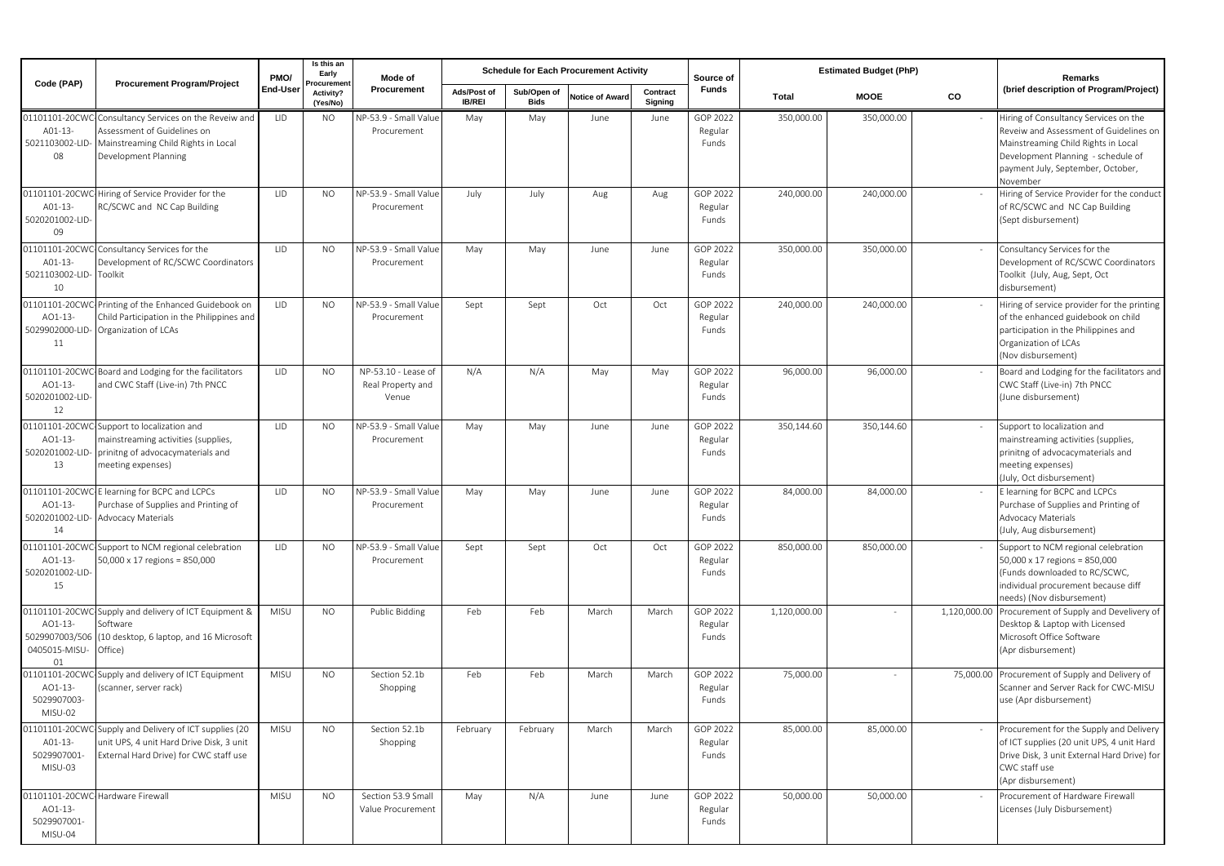| Code (PAP)                                                         | <b>Procurement Program/Project</b>                                                                                                           | PMO/       | Is this an<br>Early<br><b>rocuremer</b> | Mode of                                           |                              |                            | <b>Schedule for Each Procurement Activity</b> |                     | Source of                    |              | <b>Estimated Budget (PhP)</b> |              | Remarks                                                                                                                                                                                                       |
|--------------------------------------------------------------------|----------------------------------------------------------------------------------------------------------------------------------------------|------------|-----------------------------------------|---------------------------------------------------|------------------------------|----------------------------|-----------------------------------------------|---------------------|------------------------------|--------------|-------------------------------|--------------|---------------------------------------------------------------------------------------------------------------------------------------------------------------------------------------------------------------|
|                                                                    |                                                                                                                                              | End-User   | Activity?<br>(Yes/No)                   | Procurement                                       | Ads/Post of<br><b>IB/REI</b> | Sub/Open of<br><b>Bids</b> | <b>Notice of Award</b>                        | Contract<br>Signing | <b>Funds</b>                 | Total        | <b>MOOE</b>                   | CO           | (brief description of Program/Project)                                                                                                                                                                        |
| 01101101-20CWC<br>A01-13-<br>5021103002-LID<br>08                  | Consultancy Services on the Reveiw and<br>Assessment of Guidelines on<br>Mainstreaming Child Rights in Local<br>Development Planning         | LID        | NO.                                     | NP-53.9 - Small Value<br>Procurement              | May                          | May                        | June                                          | June                | GOP 2022<br>Regular<br>Funds | 350,000.00   | 350,000.00                    |              | Hiring of Consultancy Services on the<br>Reveiw and Assessment of Guidelines on<br>Mainstreaming Child Rights in Local<br>Development Planning - schedule of<br>payment July, September, October,<br>November |
| 01101101-20CWC<br>A01-13-<br>5020201002-LID<br>09                  | Hiring of Service Provider for the<br>RC/SCWC and NC Cap Building                                                                            | LID        | NO.                                     | NP-53.9 - Small Value<br>Procurement              | July                         | July                       | Aug                                           | Aug                 | GOP 2022<br>Regular<br>Funds | 240,000.00   | 240,000.00                    |              | Hiring of Service Provider for the conduct<br>of RC/SCWC and NC Cap Building<br>(Sept disbursement)                                                                                                           |
| 01101101-20CW<br>A01-13<br>5021103002-LID-<br>10                   | Consultancy Services for the<br>Development of RC/SCWC Coordinators<br>Toolkit                                                               | <b>LID</b> | NO.                                     | NP-53.9 - Small Value<br>Procurement              | May                          | May                        | June                                          | June                | GOP 2022<br>Regular<br>Funds | 350,000.00   | 350,000.00                    |              | Consultancy Services for the<br>Development of RC/SCWC Coordinators<br>Toolkit (July, Aug, Sept, Oct<br>disbursement)                                                                                         |
| 01101101-20CW<br>AO1-13-<br>5029902000-LID-<br>11                  | Printing of the Enhanced Guidebook on<br>Child Participation in the Philippines and<br>Organization of LCAs                                  | LID        | NO.                                     | NP-53.9 - Small Valu<br>Procurement               | Sept                         | Sept                       | Oct                                           | Oct                 | GOP 2022<br>Regular<br>Funds | 240,000.00   | 240,000.00                    |              | Hiring of service provider for the printing<br>of the enhanced guidebook on child<br>participation in the Philippines and<br>Organization of LCAs<br>(Nov disbursement)                                       |
| 01101101-20CW<br>AO1-13-<br>5020201002-LID<br>12                   | Board and Lodging for the facilitators<br>and CWC Staff (Live-in) 7th PNCC                                                                   | LID        | <b>NO</b>                               | NP-53.10 - Lease of<br>Real Property and<br>Venue | N/A                          | N/A                        | May                                           | May                 | GOP 2022<br>Regular<br>Funds | 96,000.00    | 96,000.00                     |              | Board and Lodging for the facilitators and<br>CWC Staff (Live-in) 7th PNCC<br>(June disbursement)                                                                                                             |
| 01101101-20CW<br>AO1-13-<br>5020201002-LID<br>13                   | Support to localization and<br>mainstreaming activities (supplies,<br>prinitng of advocacymaterials and<br>meeting expenses)                 | LID        | <b>NO</b>                               | NP-53.9 - Small Value<br>Procurement              | May                          | May                        | June                                          | June                | GOP 2022<br>Regular<br>Funds | 350,144.60   | 350,144.60                    |              | Support to localization and<br>mainstreaming activities (supplies,<br>prinitng of advocacymaterials and<br>meeting expenses)<br>(July, Oct disbursement)                                                      |
| 01101101-20CW<br>AO1-13-<br>5020201002-LID<br>14                   | E learning for BCPC and LCPCs<br>Purchase of Supplies and Printing of<br>Advocacy Materials                                                  | LID        | <b>NO</b>                               | NP-53.9 - Small Value<br>Procurement              | May                          | May                        | June                                          | June                | GOP 2022<br>Regular<br>Funds | 84,000.00    | 84,000.00                     |              | E learning for BCPC and LCPCs<br>Purchase of Supplies and Printing of<br>Advocacy Materials<br>(July, Aug disbursement)                                                                                       |
| 01101101-20CW<br>AO1-13-<br>5020201002-LID-<br>15                  | Support to NCM regional celebration<br>50,000 x 17 regions = 850,000                                                                         | LID        | <b>NO</b>                               | NP-53.9 - Small Value<br>Procurement              | Sept                         | Sept                       | Oct                                           | Oct                 | GOP 2022<br>Regular<br>Funds | 850,000.00   | 850,000.00                    |              | Support to NCM regional celebration<br>50,000 x 17 regions = 850,000<br>(Funds downloaded to RC/SCWC,<br>individual procurement because diff<br>needs) (Nov disbursement)                                     |
| 01101101-20CWC<br>AO1-13-<br>5029907003/506<br>0405015-MISU-<br>01 | Supply and delivery of ICT Equipment &<br>Software<br>(10 desktop, 6 laptop, and 16 Microsoft<br>Office)                                     | MISU       | <b>NO</b>                               | Public Bidding                                    | Feb                          | Feb                        | March                                         | March               | GOP 2022<br>Regular<br>Funds | 1,120,000.00 |                               | 1,120,000.00 | Procurement of Supply and Develivery of<br>Desktop & Laptop with Licensed<br>Microsoft Office Software<br>(Apr disbursement)                                                                                  |
| 01101101-20CW<br>AO1-13-<br>5029907003-<br>MISU-02                 | Supply and delivery of ICT Equipment<br>(scanner, server rack)                                                                               | MISU       | <b>NO</b>                               | Section 52.1b<br>Shopping                         | Feb                          | Feb                        | March                                         | March               | GOP 2022<br>Regular<br>Funds | 75,000.00    |                               | 75,000.00    | Procurement of Supply and Delivery of<br>Scanner and Server Rack for CWC-MISU<br>use (Apr disbursement)                                                                                                       |
| A01-13-<br>5029907001-<br>MISU-03                                  | 01101101-20CWC-Supply and Delivery of ICT supplies (20<br>unit UPS, 4 unit Hard Drive Disk, 3 unit<br>External Hard Drive) for CWC staff use | MISU       | <b>NO</b>                               | Section 52.1b<br>Shopping                         | February                     | February                   | March                                         | March               | GOP 2022<br>Regular<br>Funds | 85,000.00    | 85,000.00                     |              | Procurement for the Supply and Delivery<br>of ICT supplies (20 unit UPS, 4 unit Hard<br>Drive Disk, 3 unit External Hard Drive) for<br>CWC staff use<br>(Apr disbursement)                                    |
| AO1-13-<br>5029907001-<br>MISU-04                                  | 01101101-20CWC-Hardware Firewall                                                                                                             | MISU       | NO.                                     | Section 53.9 Small<br>Value Procurement           | May                          | N/A                        | June                                          | June                | GOP 2022<br>Regular<br>Funds | 50,000.00    | 50,000.00                     |              | Procurement of Hardware Firewall<br>Licenses (July Disbursement)                                                                                                                                              |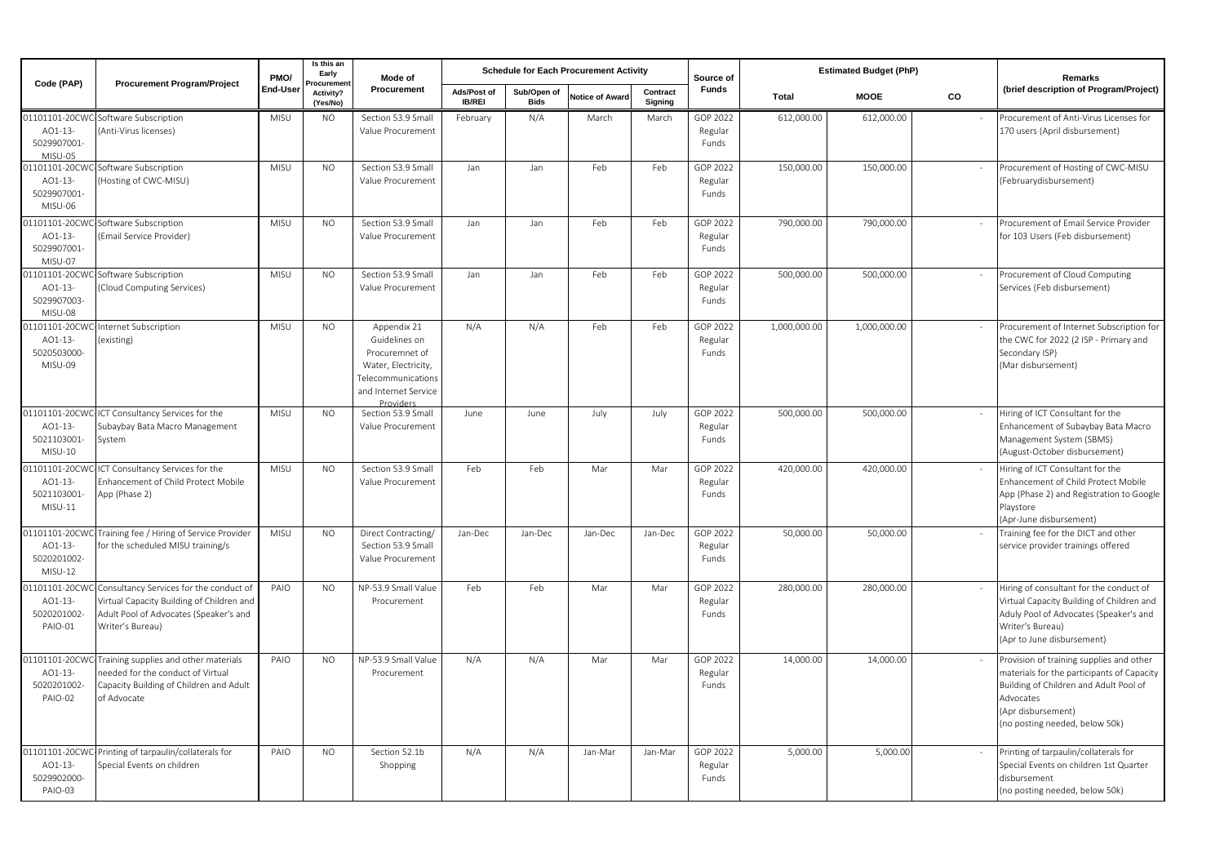| Code (PAP)                                         | <b>Procurement Program/Project</b>                                                                                                                 | PMO/     | Is this an<br>Early<br>'rocuremei | Mode of                                                                                                                                       |                              |                            | <b>Schedule for Each Procurement Activity</b> |                     | Source of                    |              | <b>Estimated Budget (PhP)</b> |    | Remarks                                                                                                                                                                                               |
|----------------------------------------------------|----------------------------------------------------------------------------------------------------------------------------------------------------|----------|-----------------------------------|-----------------------------------------------------------------------------------------------------------------------------------------------|------------------------------|----------------------------|-----------------------------------------------|---------------------|------------------------------|--------------|-------------------------------|----|-------------------------------------------------------------------------------------------------------------------------------------------------------------------------------------------------------|
|                                                    |                                                                                                                                                    | End-User | Activity?<br>(Yes/No)             | Procurement                                                                                                                                   | Ads/Post of<br><b>IB/REI</b> | Sub/Open of<br><b>Bids</b> | <b>Notice of Awar</b>                         | Contract<br>Signing | <b>Funds</b>                 | <b>Total</b> | <b>MOOE</b>                   | CO | (brief description of Program/Project)                                                                                                                                                                |
| 01101101-20CW<br>AO1-13-<br>5029907001-<br>MISU-05 | Software Subscription<br>(Anti-Virus licenses)                                                                                                     | MISU     | <b>NO</b>                         | Section 53.9 Small<br>Value Procurement                                                                                                       | February                     | N/A                        | March                                         | March               | GOP 2022<br>Regular<br>Funds | 612,000.00   | 612,000.00                    |    | Procurement of Anti-Virus Licenses for<br>170 users (April disbursement)                                                                                                                              |
| 01101101-20CW<br>AO1-13-<br>5029907001-<br>MISU-06 | Software Subscription<br>(Hosting of CWC-MISU)                                                                                                     | MISU     | <b>NO</b>                         | Section 53.9 Small<br>Value Procurement                                                                                                       | Jan                          | Jan                        | Feb                                           | Feb                 | GOP 2022<br>Regular<br>Funds | 150,000.00   | 150,000.00                    |    | Procurement of Hosting of CWC-MISU<br>(Februarydisbursement)                                                                                                                                          |
| 1101101-20CW<br>AO1-13-<br>5029907001-<br>MISU-07  | Software Subscription<br>(Email Service Provider)                                                                                                  | MISU     | NO.                               | Section 53.9 Small<br>Value Procurement                                                                                                       | Jan                          | Jan                        | Feb                                           | Feb                 | GOP 2022<br>Regular<br>Funds | 790,000.00   | 790,000.00                    |    | Procurement of Email Service Provider<br>for 103 Users (Feb disbursement)                                                                                                                             |
| 01101101-20CW<br>AO1-13-<br>5029907003-<br>MISU-08 | Software Subscription<br>(Cloud Computing Services)                                                                                                | MISU     | <b>NO</b>                         | Section 53.9 Small<br>Value Procurement                                                                                                       | Jan                          | Jan                        | Feb                                           | Feb                 | GOP 2022<br>Regular<br>Funds | 500,000.00   | 500,000.00                    |    | Procurement of Cloud Computing<br>Services (Feb disbursement)                                                                                                                                         |
| 01101101-20CW<br>AO1-13-<br>5020503000-<br>MISU-09 | Internet Subscription<br>existing)                                                                                                                 | MISU     | NO.                               | Appendix 21<br>Guidelines on<br>Procuremnet of<br>Water, Electricity,<br><b>Telecommunications</b><br>and Internet Service<br><b>Drovidor</b> | N/A                          | N/A                        | Feb                                           | Feb                 | GOP 2022<br>Regular<br>Funds | 1,000,000.00 | 1,000,000.00                  |    | Procurement of Internet Subscription for<br>the CWC for 2022 (2 ISP - Primary and<br>Secondary ISP)<br>(Mar disbursement)                                                                             |
| 01101101-20CW<br>AO1-13-<br>5021103001-<br>MISU-10 | ICT Consultancy Services for the<br>Subaybay Bata Macro Management<br>System                                                                       | MISU     | <b>NO</b>                         | Section 53.9 Small<br>Value Procurement                                                                                                       | June                         | June                       | July                                          | July                | GOP 2022<br>Regular<br>Funds | 500,000.00   | 500,000.00                    |    | Hiring of ICT Consultant for the<br>Enhancement of Subaybay Bata Macro<br>Management System (SBMS)<br>(August-October disbursement)                                                                   |
| 01101101-20CW<br>AO1-13-<br>5021103001-<br>MISU-11 | ICT Consultancy Services for the<br>Enhancement of Child Protect Mobile<br>App (Phase 2)                                                           | MISU     | NO.                               | Section 53.9 Small<br>Value Procurement                                                                                                       | Feb                          | Feb                        | Mar                                           | Mar                 | GOP 2022<br>Regular<br>Funds | 420,000.00   | 420,000.00                    |    | Hiring of ICT Consultant for the<br>Enhancement of Child Protect Mobile<br>App (Phase 2) and Registration to Google<br>Playstore<br>(Apr-June disbursement)                                           |
| 01101101-20CW<br>AO1-13-<br>5020201002-<br>MISU-12 | Training fee / Hiring of Service Provider<br>for the scheduled MISU training/s                                                                     | MISU     | <b>NO</b>                         | Direct Contracting/<br>Section 53.9 Small<br>Value Procurement                                                                                | Jan-Dec                      | Jan-Dec                    | Jan-Dec                                       | Jan-Dec             | GOP 2022<br>Regular<br>Funds | 50,000.00    | 50,000.00                     |    | Training fee for the DICT and other<br>service provider trainings offered                                                                                                                             |
| 01101101-20CW<br>AO1-13-<br>5020201002-<br>PAIO-01 | Consultancy Services for the conduct of<br>Virtual Capacity Building of Children and<br>Adult Pool of Advocates (Speaker's and<br>Writer's Bureau) | PAIO     | NO.                               | NP-53.9 Small Value<br>Procurement                                                                                                            | Feb                          | Feb                        | Mar                                           | Mar                 | GOP 2022<br>Regular<br>Funds | 280,000.00   | 280,000.00                    |    | Hiring of consultant for the conduct of<br>Virtual Capacity Building of Children and<br>Aduly Pool of Advocates (Speaker's and<br>Writer's Bureau)<br>(Apr to June disbursement)                      |
| 01101101-20CW<br>AO1-13-<br>5020201002-<br>PAIO-02 | Training supplies and other materials<br>eeded for the conduct of Virtual<br>Capacity Building of Children and Adult<br>of Advocate                | PAIO     | <b>NO</b>                         | NP-53.9 Small Value<br>Procurement                                                                                                            | N/A                          | N/A                        | Mar                                           | Mar                 | GOP 2022<br>Regular<br>Funds | 14,000.00    | 14,000.00                     |    | Provision of training supplies and other<br>materials for the participants of Capacity<br>Building of Children and Adult Pool of<br>Advocates<br>(Apr disbursement)<br>(no posting needed, below 50k) |
| 01101101-20CW<br>AO1-13-<br>5029902000-<br>PAIO-03 | Printing of tarpaulin/collaterals for<br>Special Events on children                                                                                | PAIO     | <b>NO</b>                         | Section 52.1b<br>Shopping                                                                                                                     | N/A                          | N/A                        | Jan-Mar                                       | Jan-Mar             | GOP 2022<br>Regular<br>Funds | 5,000.00     | 5,000.00                      |    | Printing of tarpaulin/collaterals for<br>Special Events on children 1st Quarter<br>disbursement<br>(no posting needed, below 50k)                                                                     |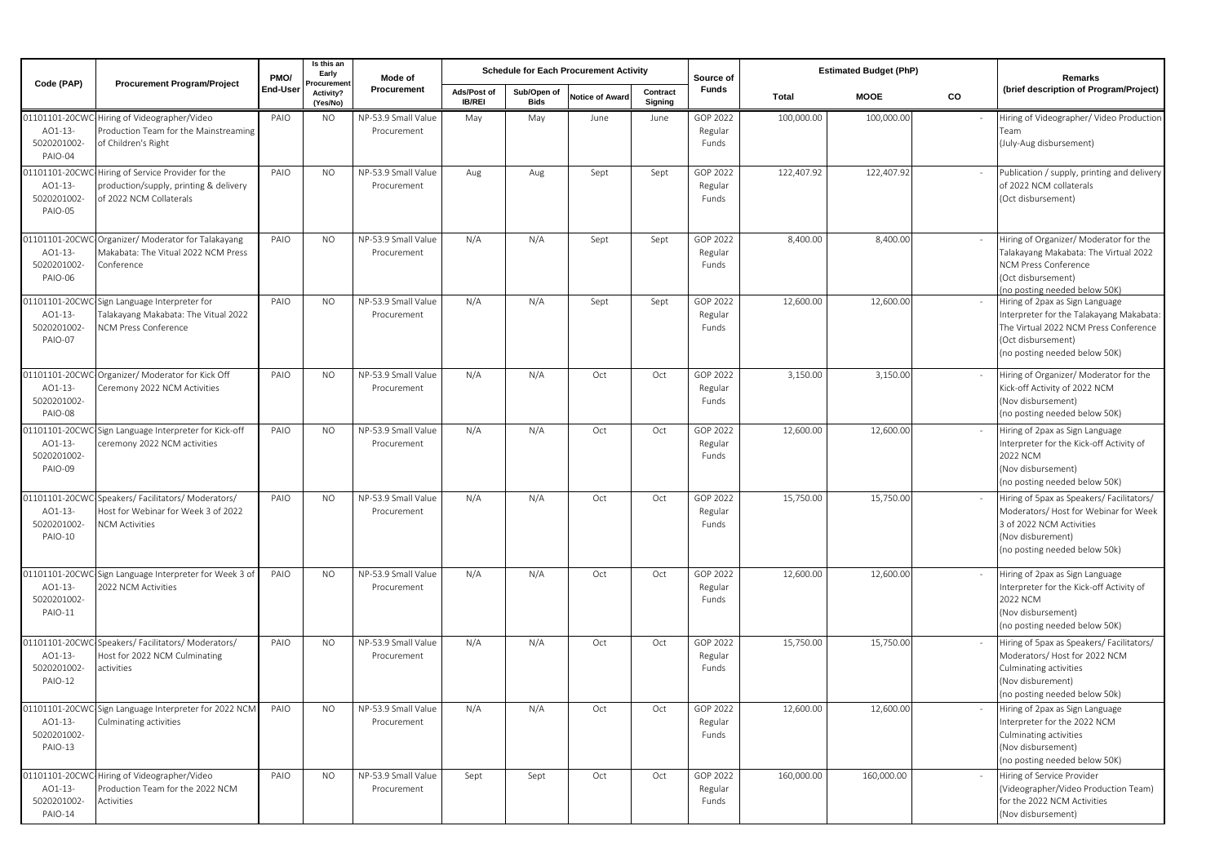| Code (PAP)                                                | <b>Procurement Program/Project</b>                                                                         | PMO/     | Is this an<br>Early<br>rocuremer | Mode of                            |                              |                            | <b>Schedule for Each Procurement Activity</b> |                     | Source of                    |            | <b>Estimated Budget (PhP)</b> |    | Remarks                                                                                                                                                                     |
|-----------------------------------------------------------|------------------------------------------------------------------------------------------------------------|----------|----------------------------------|------------------------------------|------------------------------|----------------------------|-----------------------------------------------|---------------------|------------------------------|------------|-------------------------------|----|-----------------------------------------------------------------------------------------------------------------------------------------------------------------------------|
|                                                           |                                                                                                            | End-User | Activity?<br>(Yes/No)            | Procurement                        | Ads/Post of<br><b>IB/REI</b> | Sub/Open of<br><b>Bids</b> | <b>Notice of Award</b>                        | Contract<br>Signing | Funds                        | Total      | <b>MOOE</b>                   | CO | (brief description of Program/Project)                                                                                                                                      |
| AO1-13-<br>5020201002-<br>PAIO-04                         | 1101101-20CWC-Hiring of Videographer/Video<br>Production Team for the Mainstreaming<br>of Children's Right | PAIO     | <b>NO</b>                        | NP-53.9 Small Value<br>Procurement | May                          | May                        | June                                          | June                | GOP 2022<br>Regular<br>Funds | 100,000.00 | 100,000.00                    |    | Hiring of Videographer/ Video Productior<br>Team<br>(July-Aug disbursement)                                                                                                 |
| 01101101-20CW<br>AO1-13-<br>5020201002<br>PAIO-05         | Hiring of Service Provider for the<br>production/supply, printing & delivery<br>of 2022 NCM Collaterals    | PAIO     | NO.                              | NP-53.9 Small Value<br>Procurement | Aug                          | Aug                        | Sept                                          | Sept                | GOP 2022<br>Regular<br>Funds | 122,407.92 | 122,407.92                    |    | Publication / supply, printing and delivery<br>of 2022 NCM collaterals<br>(Oct disbursement)                                                                                |
| 01101101-20CW<br>AO1-13-<br>5020201002-<br>PAIO-06        | Organizer/ Moderator for Talakayang<br>Makabata: The Vitual 2022 NCM Press<br>Conference                   | PAIO     | NO.                              | NP-53.9 Small Value<br>Procurement | N/A                          | N/A                        | Sept                                          | Sept                | GOP 2022<br>Regular<br>Funds | 8,400.00   | 8,400.00                      |    | Hiring of Organizer/ Moderator for the<br>Talakayang Makabata: The Virtual 2022<br><b>NCM Press Conference</b><br>(Oct disbursement)<br>(no posting needed below 50K)       |
| 01101101-20CW<br>AO1-13-<br>5020201002-<br>PAIO-07        | Sign Language Interpreter for<br>Talakayang Makabata: The Vitual 2022<br>NCM Press Conference              | PAIO     | NO.                              | NP-53.9 Small Value<br>Procurement | N/A                          | N/A                        | Sept                                          | Sept                | GOP 2022<br>Regular<br>Funds | 12,600.00  | 12,600.00                     |    | Hiring of 2pax as Sign Language<br>Interpreter for the Talakayang Makabata:<br>The Virtual 2022 NCM Press Conference<br>(Oct disbursement)<br>(no posting needed below 50K) |
| 01101101-20CW<br>AO1-13-<br>5020201002-<br>PAIO-08        | Organizer/ Moderator for Kick Off<br>Ceremony 2022 NCM Activities                                          | PAIO     | <b>NO</b>                        | NP-53.9 Small Value<br>Procurement | N/A                          | N/A                        | Oct                                           | Oct                 | GOP 2022<br>Regular<br>Funds | 3,150.00   | 3,150.00                      |    | Hiring of Organizer/ Moderator for the<br>Kick-off Activity of 2022 NCM<br>(Nov disbursement)<br>(no posting needed below 50K)                                              |
| 01101101-20CW<br>AO1-13-<br>5020201002-<br>PAIO-09        | Sign Language Interpreter for Kick-off<br>ceremony 2022 NCM activities                                     | PAIO     | NO.                              | NP-53.9 Small Value<br>Procurement | N/A                          | N/A                        | Oct                                           | Oct                 | GOP 2022<br>Regular<br>Funds | 12,600.00  | 12,600.00                     |    | Hiring of 2pax as Sign Language<br>Interpreter for the Kick-off Activity of<br>2022 NCM<br>(Nov disbursement)<br>(no posting needed below 50K)                              |
| 01101101-20CW<br>AO1-13-<br>5020201002-<br>PAIO-10        | Speakers/ Facilitators/ Moderators/<br>Host for Webinar for Week 3 of 2022<br><b>NCM Activities</b>        | PAIO     | <b>NO</b>                        | NP-53.9 Small Value<br>Procurement | N/A                          | N/A                        | Oct                                           | Oct                 | GOP 2022<br>Regular<br>Funds | 15,750.00  | 15,750.00                     |    | Hiring of 5pax as Speakers/ Facilitators/<br>Moderators/Host for Webinar for Week<br>3 of 2022 NCM Activities<br>(Nov disburement)<br>(no posting needed below 50k)         |
| 01101101-20CW<br>AO1-13-<br>5020201002-<br><b>PAIO-11</b> | Sign Language Interpreter for Week 3 of<br>2022 NCM Activities                                             | PAIO     | NO.                              | NP-53.9 Small Value<br>Procurement | N/A                          | N/A                        | Oct                                           | Oct                 | GOP 2022<br>Regular<br>Funds | 12,600.00  | 12,600.00                     |    | Hiring of 2pax as Sign Language<br>Interpreter for the Kick-off Activity of<br>2022 NCM<br>(Nov disbursement)<br>(no posting needed below 50K)                              |
| 01101101-20CW<br>AO1-13-<br>5020201002-<br><b>PAIO-12</b> | Speakers/ Facilitators/ Moderators/<br>Host for 2022 NCM Culminating<br>activities                         | PAIO     | <b>NO</b>                        | NP-53.9 Small Value<br>Procurement | N/A                          | N/A                        | Oct                                           | Oct                 | GOP 2022<br>Regular<br>Funds | 15,750.00  | 15,750.00                     |    | Hiring of 5pax as Speakers/Facilitators/<br>Moderators/Host for 2022 NCM<br>Culminating activities<br>(Nov disburement)<br>(no posting needed below 50k)                    |
| AO1-13-<br>5020201002-<br>PAIO-13                         | 01101101-20CWC-Sign Language Interpreter for 2022 NCM<br>Culminating activities                            | PAIO     | NO.                              | NP-53.9 Small Value<br>Procurement | N/A                          | N/A                        | Oct                                           | Oct                 | GOP 2022<br>Regular<br>Funds | 12,600.00  | 12,600.00                     |    | Hiring of 2pax as Sign Language<br>Interpreter for the 2022 NCM<br>Culminating activities<br>(Nov disbursement)<br>(no posting needed below 50K)                            |
| 01101101-20CW<br>AO1-13-<br>5020201002-<br>PAIO-14        | Hiring of Videographer/Video<br>Production Team for the 2022 NCM<br>Activities                             | PAIO     | <b>NO</b>                        | NP-53.9 Small Value<br>Procurement | Sept                         | Sept                       | Oct                                           | Oct                 | GOP 2022<br>Regular<br>Funds | 160,000.00 | 160,000.00                    |    | Hiring of Service Provider<br>(Videographer/Video Production Team)<br>for the 2022 NCM Activities<br>(Nov disbursement)                                                     |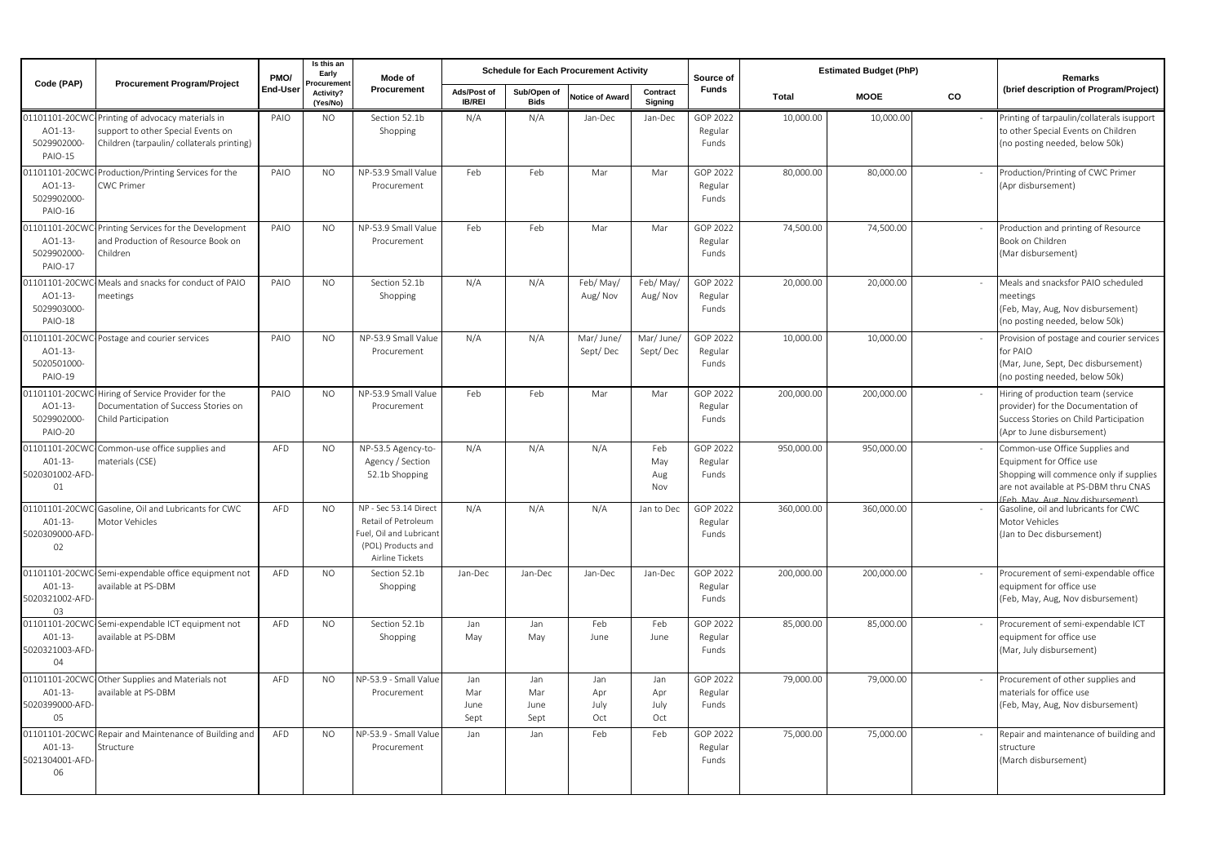| Code (PAP)                                                | <b>Procurement Program/Project</b>                                                                                    | PMO/     | Is this an<br>Early<br>rocuremen | Mode of                                                                                                          |                              |                            | <b>Schedule for Each Procurement Activity</b> |                           | Source of                    |              | <b>Estimated Budget (PhP)</b> |    | Remarks                                                                                                                                                                |
|-----------------------------------------------------------|-----------------------------------------------------------------------------------------------------------------------|----------|----------------------------------|------------------------------------------------------------------------------------------------------------------|------------------------------|----------------------------|-----------------------------------------------|---------------------------|------------------------------|--------------|-------------------------------|----|------------------------------------------------------------------------------------------------------------------------------------------------------------------------|
|                                                           |                                                                                                                       | End-User | Activity?<br>(Yes/No)            | Procurement                                                                                                      | Ads/Post of<br><b>IB/REI</b> | Sub/Open of<br><b>Bids</b> | Notice of Award                               | Contract<br>Signing       | <b>Funds</b>                 | <b>Total</b> | <b>MOOE</b>                   | CO | (brief description of Program/Project)                                                                                                                                 |
| 01101101-20CW<br>AO1-13-<br>5029902000-<br>PAIO-15        | Printing of advocacy materials in<br>support to other Special Events on<br>Children (tarpaulin/ collaterals printing) | PAIO     | NO.                              | Section 52.1b<br>Shopping                                                                                        | N/A                          | N/A                        | Jan-Dec                                       | Jan-Dec                   | GOP 2022<br>Regular<br>Funds | 10,000.00    | 10,000.00                     |    | Printing of tarpaulin/collaterals isupport<br>to other Special Events on Children<br>(no posting needed, below 50k)                                                    |
| 01101101-20CW<br>AO1-13-<br>5029902000-<br><b>PAIO-16</b> | Production/Printing Services for the<br><b>CWC Primer</b>                                                             | PAIO     | N <sub>O</sub>                   | NP-53.9 Small Value<br>Procurement                                                                               | Feb                          | Feb                        | Mar                                           | Mar                       | GOP 2022<br>Regular<br>Funds | 80,000.00    | 80,000.00                     |    | Production/Printing of CWC Primer<br>(Apr disbursement)                                                                                                                |
| 01101101-20CW<br>AO1-13-<br>5029902000-<br><b>PAIO-17</b> | Printing Services for the Development<br>and Production of Resource Book on<br>Children                               | PAIO     | <b>NO</b>                        | NP-53.9 Small Value<br>Procurement                                                                               | Feb                          | Feb                        | Mar                                           | Mar                       | GOP 2022<br>Regular<br>Funds | 74,500.00    | 74,500.00                     |    | Production and printing of Resource<br>Book on Children<br>(Mar disbursement)                                                                                          |
| 01101101-20CW<br>AO1-13-<br>5029903000-<br>PAIO-18        | Meals and snacks for conduct of PAIO<br>meetings                                                                      | PAIO     | N <sub>O</sub>                   | Section 52.1b<br>Shopping                                                                                        | N/A                          | N/A                        | Feb/May/<br>Aug/Nov                           | Feb/May/<br>Aug/Nov       | GOP 2022<br>Regular<br>Funds | 20,000.00    | 20,000,00                     |    | Meals and snacksfor PAIO scheduled<br>meetings<br>(Feb, May, Aug, Nov disbursement)<br>(no posting needed, below 50k)                                                  |
| 01101101-20CW<br>AO1-13-<br>5020501000-<br>PAIO-19        | Postage and courier services                                                                                          | PAIO     | <b>NO</b>                        | NP-53.9 Small Value<br>Procurement                                                                               | N/A                          | N/A                        | Mar/ June/<br>Sept/Dec                        | Mar/ June<br>Sept/Dec     | GOP 2022<br>Regular<br>Funds | 10,000.00    | 10,000.00                     |    | Provision of postage and courier services<br>for PAIO<br>(Mar, June, Sept, Dec disbursement)<br>(no posting needed, below 50k)                                         |
| 01101101-20CW<br>AO1-13-<br>5029902000-<br>PAIO-20        | Hiring of Service Provider for the<br>Documentation of Success Stories on<br>Child Participation                      | PAIO     | NO.                              | NP-53.9 Small Value<br>Procurement                                                                               | Feb                          | Feb                        | Mar                                           | Mar                       | GOP 2022<br>Regular<br>Funds | 200,000.00   | 200,000.00                    |    | Hiring of production team (service<br>provider) for the Documentation of<br>Success Stories on Child Participation<br>(Apr to June disbursement)                       |
| 01101101-20CW<br>A01-13-<br>5020301002-AFD<br>01          | Common-use office supplies and<br>materials (CSE)                                                                     | AFD      | <b>NO</b>                        | NP-53.5 Agency-to-<br>Agency / Section<br>52.1b Shopping                                                         | N/A                          | N/A                        | N/A                                           | Feb<br>May<br>Aug<br>Nov  | GOP 2022<br>Regular<br>Funds | 950,000.00   | 950,000.00                    |    | Common-use Office Supplies and<br>Equipment for Office use<br>Shopping will commence only if supplies<br>are not available at PS-DBM thru CNAS<br>Feb May Aug Nov dish |
| 01101101-20CW<br>A01-13-<br>5020309000-AFD<br>02          | Gasoline, Oil and Lubricants for CWC<br>Motor Vehicles                                                                | AFD      | <b>NO</b>                        | NP - Sec 53.14 Direct<br>Retail of Petroleum<br>Fuel, Oil and Lubricant<br>(POL) Products and<br>Airline Tickets | N/A                          | N/A                        | N/A                                           | Jan to Dec                | GOP 2022<br>Regular<br>Funds | 360,000.00   | 360,000.00                    |    | Gasoline, oil and lubricants for CWC<br>Motor Vehicles<br>(Jan to Dec disbursement)                                                                                    |
| 01101101-20CW<br>A01-13-<br>5020321002-AFD<br>03          | Semi-expendable office equipment not<br>available at PS-DBM                                                           | AFD      | N <sub>O</sub>                   | Section 52.1b<br>Shopping                                                                                        | Jan-Dec                      | Jan-Dec                    | Jan-Dec                                       | Jan-Dec                   | GOP 2022<br>Regular<br>Funds | 200,000.00   | 200,000.00                    |    | Procurement of semi-expendable office<br>equipment for office use<br>(Feb, May, Aug, Nov disbursement)                                                                 |
| 01101101-20CW<br>A01-13-<br>5020321003-AFD<br>04          | Semi-expendable ICT equipment not<br>available at PS-DBM                                                              | AFD      | N <sub>O</sub>                   | Section 52.1b<br>Shopping                                                                                        | Jan<br>May                   | Jan<br>May                 | Feb<br>June                                   | Feb<br>June               | GOP 2022<br>Regular<br>Funds | 85,000.00    | 85,000.00                     |    | Procurement of semi-expendable ICT<br>equipment for office use<br>(Mar, July disbursement)                                                                             |
| 01101101-20CWC<br>A01-13-<br>5020399000-AFD<br>05         | Other Supplies and Materials not<br>available at PS-DBM                                                               | AFD      | NO.                              | NP-53.9 - Small Value<br>Procurement                                                                             | Jan<br>Mar<br>June<br>Sept   | Jan<br>Mar<br>June<br>Sept | Jan<br>Apr<br>July<br>Oct                     | Jan<br>Apr<br>July<br>Oct | GOP 2022<br>Regular<br>Funds | 79,000.00    | 79,000.00                     |    | Procurement of other supplies and<br>materials for office use<br>(Feb, May, Aug, Nov disbursement)                                                                     |
| 01101101-20CW<br>A01-13-<br>5021304001-AFD<br>06          | Repair and Maintenance of Building and<br>Structure                                                                   | AFD      | <b>NO</b>                        | NP-53.9 - Small Value<br>Procurement                                                                             | Jan                          | Jan                        | Feb                                           | Feb                       | GOP 2022<br>Regular<br>Funds | 75,000.00    | 75,000.00                     |    | Repair and maintenance of building and<br>structure<br>(March disbursement)                                                                                            |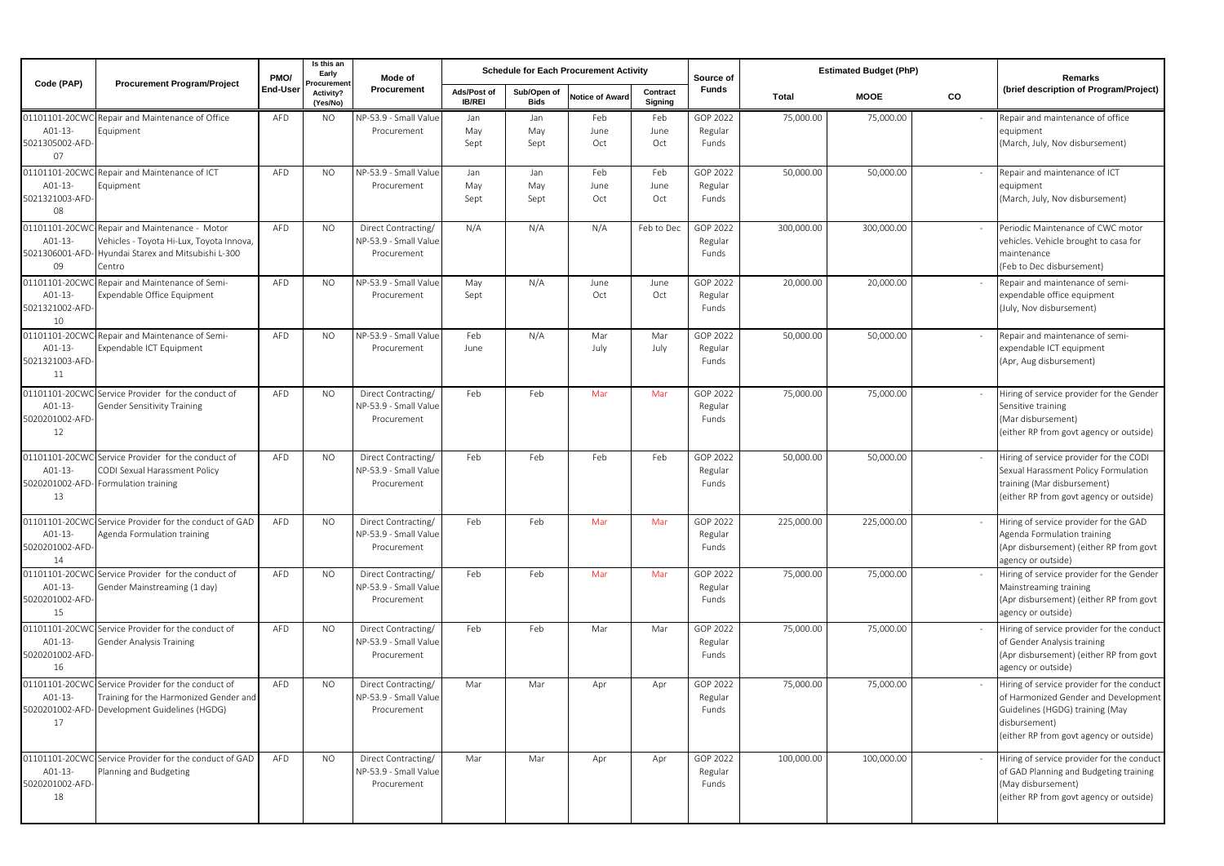| Code (PAP)                                         | <b>Procurement Program/Project</b>                                                                                             | PMO/     | Is this an<br>Early               | Mode of                                                     |                              |                     | <b>Schedule for Each Procurement Activity</b> |                     | Source of                    |            | <b>Estimated Budget (PhP)</b> |    | Remarks                                                                                                                                                                           |
|----------------------------------------------------|--------------------------------------------------------------------------------------------------------------------------------|----------|-----------------------------------|-------------------------------------------------------------|------------------------------|---------------------|-----------------------------------------------|---------------------|------------------------------|------------|-------------------------------|----|-----------------------------------------------------------------------------------------------------------------------------------------------------------------------------------|
|                                                    |                                                                                                                                | End-User | rocureme<br>Activity?<br>(Yes/No) | Procurement                                                 | Ads/Post of<br><b>IB/REI</b> | Sub/Open of<br>Bids | <b>Notice of Award</b>                        | Contract<br>Signing | <b>Funds</b>                 | Total      | <b>MOOE</b>                   | CO | (brief description of Program/Project)                                                                                                                                            |
| A01-13-<br>5021305002-AFD-<br>07                   | 01101101-20CWC-Repair and Maintenance of Office<br>Equipment                                                                   | AFD      | <b>NO</b>                         | NP-53.9 - Small Value<br>Procurement                        | Jan<br>May<br>Sept           | Jan<br>May<br>Sept  | Feb<br>June<br>Oct                            | Feb<br>June<br>Oct  | GOP 2022<br>Regular<br>Funds | 75,000.00  | 75,000.00                     |    | Repair and maintenance of office<br>equipment<br>(March, July, Nov disbursement)                                                                                                  |
| 01101101-20CW<br>A01-13-<br>5021321003-AFD-<br>08  | Repair and Maintenance of ICT<br>Equipment                                                                                     | AFD      | <b>NO</b>                         | NP-53.9 - Small Value<br>Procurement                        | Jan<br>May<br>Sept           | Jan<br>May<br>Sept  | Feb<br>June<br>Oct                            | Feb<br>June<br>Oct  | GOP 2022<br>Regular<br>Funds | 50,000.00  | 50,000.00                     |    | Repair and maintenance of ICT<br>equipment<br>(March, July, Nov disbursement)                                                                                                     |
| 01101101-20CWC<br>A01-13-<br>5021306001-AFD<br>09  | Repair and Maintenance - Motor<br>Vehicles - Toyota Hi-Lux, Toyota Innova,<br>Hyundai Starex and Mitsubishi L-300<br>Centro    | AFD      | <b>NO</b>                         | Direct Contracting/<br>NP-53.9 - Small Value<br>Procurement | N/A                          | N/A                 | N/A                                           | Feb to Dec          | GOP 2022<br>Regular<br>Funds | 300,000.00 | 300,000.00                    |    | Periodic Maintenance of CWC motor<br>vehicles. Vehicle brought to casa for<br>maintenance<br>(Feb to Dec disbursement)                                                            |
| 01101101-20CW<br>A01-13-<br>5021321002-AFD-<br>10  | Repair and Maintenance of Semi-<br>Expendable Office Equipment                                                                 | AFD      | NO.                               | NP-53.9 - Small Value<br>Procurement                        | May<br>Sept                  | N/A                 | June<br>Oct                                   | June<br>Oct         | GOP 2022<br>Regular<br>Funds | 20,000.00  | 20,000.00                     |    | Repair and maintenance of semi-<br>expendable office equipment<br>(July, Nov disbursement)                                                                                        |
| 01101101-20CW<br>A01-13-<br>5021321003-AFD-<br>11  | Repair and Maintenance of Semi-<br>Expendable ICT Equipment                                                                    | AFD      | <b>NO</b>                         | NP-53.9 - Small Value<br>Procurement                        | Feb<br>June                  | N/A                 | Mar<br>July                                   | Mar<br>July         | GOP 2022<br>Regular<br>Funds | 50,000.00  | 50,000.00                     |    | Repair and maintenance of semi-<br>expendable ICT equipment<br>(Apr, Aug disbursement)                                                                                            |
| 01101101-20CW<br>A01-13-<br>5020201002-AFD-<br>12  | Service Provider for the conduct of<br>Gender Sensitivity Training                                                             | AFD      | <b>NO</b>                         | Direct Contracting/<br>NP-53.9 - Small Value<br>Procurement | Feb                          | Feb                 | Mar                                           | Mar                 | GOP 2022<br>Regular<br>Funds | 75,000.00  | 75,000.00                     |    | Hiring of service provider for the Gender<br>Sensitive training<br>(Mar disbursement)<br>(either RP from govt agency or outside)                                                  |
| 01101101-20CW<br>A01-13-<br>5020201002-AFD<br>13   | Service Provider for the conduct of<br>CODI Sexual Harassment Policy<br>Formulation training                                   | AFD      | <b>NO</b>                         | Direct Contracting/<br>NP-53.9 - Small Value<br>Procurement | Feb                          | Feb                 | Feb                                           | Feb                 | GOP 2022<br>Regular<br>Funds | 50,000.00  | 50,000.00                     |    | Hiring of service provider for the CODI<br>Sexual Harassment Policy Formulation<br>training (Mar disbursement)<br>(either RP from govt agency or outside)                         |
| 01101101-20CWC<br>A01-13-<br>5020201002-AFD-<br>14 | -Service Provider for the conduct of GAD<br>Agenda Formulation training                                                        | AFD      | <b>NO</b>                         | Direct Contracting/<br>NP-53.9 - Small Value<br>Procurement | Feb                          | Feb                 | Mar                                           | Mar                 | GOP 2022<br>Regular<br>Funds | 225,000.00 | 225,000.00                    |    | Hiring of service provider for the GAD<br>Agenda Formulation training<br>(Apr disbursement) (either RP from govt<br>agency or outside)                                            |
| A01-13-<br>5020201002-AFD-<br>15                   | 01101101-20CWC-Service Provider for the conduct of<br>Gender Mainstreaming (1 day)                                             | AFD      | NO.                               | Direct Contracting/<br>NP-53.9 - Small Value<br>Procurement | Feb                          | Feb                 | Mar                                           | Mar                 | GOP 2022<br>Regular<br>Funds | 75,000.00  | 75,000.00                     |    | Hiring of service provider for the Gender<br>Mainstreaming training<br>(Apr disbursement) (either RP from govt<br>agency or outside)                                              |
| 01101101-20CWO<br>A01-13-<br>5020201002-AFD<br>16  | Service Provider for the conduct of<br>Gender Analysis Training                                                                | AFD      | <b>NO</b>                         | Direct Contracting/<br>NP-53.9 - Small Value<br>Procurement | Feb                          | Feb                 | Mar                                           | Mar                 | GOP 2022<br>Regular<br>Funds | 75,000.00  | 75,000.00                     |    | Hiring of service provider for the conduct<br>of Gender Analysis training<br>(Apr disbursement) (either RP from govt<br>agency or outside)                                        |
| 01101101-20CW<br>A01-13-<br>17                     | Service Provider for the conduct of<br>Training for the Harmonized Gender and<br>5020201002-AFD- Development Guidelines (HGDG) | AFD      | <b>NO</b>                         | Direct Contracting/<br>NP-53.9 - Small Value<br>Procurement | Mar                          | Mar                 | Apr                                           | Apr                 | GOP 2022<br>Regular<br>Funds | 75,000.00  | 75,000.00                     |    | Hiring of service provider for the conduct<br>of Harmonized Gender and Development<br>Guidelines (HGDG) training (May<br>disbursement)<br>(either RP from govt agency or outside) |
| 01101101-20CWO<br>A01-13-<br>5020201002-AFD-<br>18 | Service Provider for the conduct of GAD<br>Planning and Budgeting                                                              | AFD      | <b>NO</b>                         | Direct Contracting/<br>NP-53.9 - Small Value<br>Procurement | Mar                          | Mar                 | Apr                                           | Apr                 | GOP 2022<br>Regular<br>Funds | 100,000.00 | 100,000.00                    |    | Hiring of service provider for the conduct<br>of GAD Planning and Budgeting training<br>(May disbursement)<br>(either RP from govt agency or outside)                             |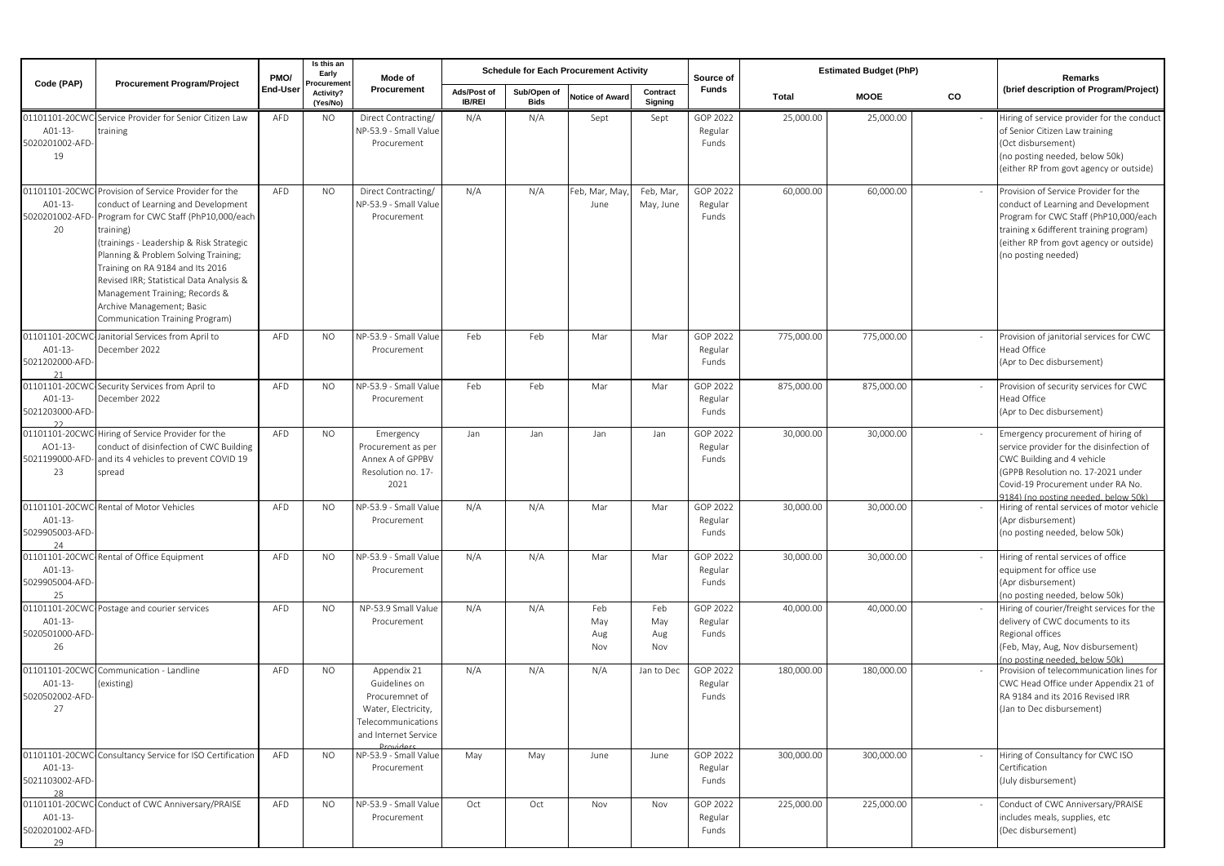| Code (PAP)                                         | <b>Procurement Program/Project</b>                                                                                                                                                                                                                                                                                                                                                                      | PMO/     | Is this an<br>Early<br>rocuremer | Mode of<br>Procurement                                                                                              | <b>Schedule for Each Procurement Activity</b> |                            |                          |                          | Source of                    |            | <b>Estimated Budget (PhP)</b> |    | Remarks                                                                                                                                                                                                                            |
|----------------------------------------------------|---------------------------------------------------------------------------------------------------------------------------------------------------------------------------------------------------------------------------------------------------------------------------------------------------------------------------------------------------------------------------------------------------------|----------|----------------------------------|---------------------------------------------------------------------------------------------------------------------|-----------------------------------------------|----------------------------|--------------------------|--------------------------|------------------------------|------------|-------------------------------|----|------------------------------------------------------------------------------------------------------------------------------------------------------------------------------------------------------------------------------------|
|                                                    |                                                                                                                                                                                                                                                                                                                                                                                                         | End-User | Activity?<br>(Yes/No)            |                                                                                                                     | Ads/Post of<br><b>IB/REI</b>                  | Sub/Open of<br><b>Bids</b> | <b>Notice of Award</b>   | Contract<br>Signing      | <b>Funds</b>                 | Total      | <b>MOOE</b>                   | CO | (brief description of Program/Project)                                                                                                                                                                                             |
| A01-13-<br>5020201002-AFD-<br>19                   | 01101101-20CWC-Service Provider for Senior Citizen Law<br>training                                                                                                                                                                                                                                                                                                                                      | AFD      | NO.                              | Direct Contracting/<br>NP-53.9 - Small Value<br>Procurement                                                         | N/A                                           | N/A                        | Sept                     | Sept                     | GOP 2022<br>Regular<br>Funds | 25,000.00  | 25,000.00                     |    | Hiring of service provider for the conduct<br>of Senior Citizen Law training<br>(Oct disbursement)<br>(no posting needed, below 50k)<br>(either RP from govt agency or outside)                                                    |
| 01101101-20CW<br>A01-13-<br>5020201002-AFD<br>20   | Provision of Service Provider for the<br>conduct of Learning and Development<br>Program for CWC Staff (PhP10,000/each<br>training)<br>trainings - Leadership & Risk Strategic<br>Planning & Problem Solving Training;<br>Training on RA 9184 and Its 2016<br>Revised IRR; Statistical Data Analysis &<br>Management Training; Records &<br>Archive Management; Basic<br>Communication Training Program) | AFD      | <b>NO</b>                        | Direct Contracting/<br>NP-53.9 - Small Value<br>Procurement                                                         | N/A                                           | N/A                        | Feb, Mar, May<br>June    | Feb, Mar,<br>May, June   | GOP 2022<br>Regular<br>Funds | 60,000.00  | 60,000.00                     |    | Provision of Service Provider for the<br>conduct of Learning and Development<br>Program for CWC Staff (PhP10,000/each<br>training x 6different training program)<br>(either RP from govt agency or outside)<br>(no posting needed) |
| 01101101-20CWO<br>A01-13-<br>5021202000-AFD-<br>21 | Janitorial Services from April to<br>December 2022                                                                                                                                                                                                                                                                                                                                                      | AFD      | <b>NO</b>                        | NP-53.9 - Small Value<br>Procurement                                                                                | Feb                                           | Feb                        | Mar                      | Mar                      | GOP 2022<br>Regular<br>Funds | 775,000.00 | 775,000.00                    |    | Provision of janitorial services for CWC<br>Head Office<br>(Apr to Dec disbursement)                                                                                                                                               |
| A01-13-<br>5021203000-AFD-                         | 01101101-20CWC Security Services from April to<br>December 2022                                                                                                                                                                                                                                                                                                                                         | AFD      | <b>NO</b>                        | NP-53.9 - Small Value<br>Procurement                                                                                | Feb                                           | Feb                        | Mar                      | Mar                      | GOP 2022<br>Regular<br>Funds | 875,000.00 | 875,000.00                    |    | Provision of security services for CWC<br>Head Office<br>(Apr to Dec disbursement)                                                                                                                                                 |
| AO1-13-<br>5021199000-AFD<br>23                    | 01101101-20CWC-Hiring of Service Provider for the<br>conduct of disinfection of CWC Building<br>and its 4 vehicles to prevent COVID 19<br>spread                                                                                                                                                                                                                                                        | AFD      | <b>NO</b>                        | Emergency<br>Procurement as per<br>Annex A of GPPBV<br>Resolution no. 17-<br>2021                                   | Jan                                           | Jan                        | Jan                      | Jan                      | GOP 2022<br>Regular<br>Funds | 30,000.00  | 30,000.00                     |    | Emergency procurement of hiring of<br>service provider for the disinfection of<br>CWC Building and 4 vehicle<br>(GPPB Resolution no. 17-2021 under<br>Covid-19 Procurement under RA No.<br>9184) (no posting needed, below 50k)    |
| A01-13-<br>5029905003-AFD-<br>24                   | 01101101-20CWC-Rental of Motor Vehicles                                                                                                                                                                                                                                                                                                                                                                 | AFD      | <b>NO</b>                        | NP-53.9 - Small Value<br>Procurement                                                                                | N/A                                           | N/A                        | Mar                      | Mar                      | GOP 2022<br>Regular<br>Funds | 30,000.00  | 30,000.00                     |    | Hiring of rental services of motor vehicle<br>(Apr disbursement)<br>(no posting needed, below 50k)                                                                                                                                 |
| A01-13-<br>5029905004-AFD-<br>25                   | 01101101-20CWC-Rental of Office Equipment                                                                                                                                                                                                                                                                                                                                                               | AFD      | <b>NO</b>                        | NP-53.9 - Small Value<br>Procurement                                                                                | N/A                                           | N/A                        | Mar                      | Mar                      | GOP 2022<br>Regular<br>Funds | 30,000.00  | 30,000.00                     |    | Hiring of rental services of office<br>equipment for office use<br>(Apr disbursement)<br>(no posting needed, below 50k)                                                                                                            |
| A01-13-<br>5020501000-AFD-<br>26                   | 01101101-20CWC-Postage and courier services                                                                                                                                                                                                                                                                                                                                                             | AFD      | <b>NO</b>                        | NP-53.9 Small Value<br>Procurement                                                                                  | N/A                                           | N/A                        | Feb<br>May<br>Aug<br>Nov | Feb<br>May<br>Aug<br>Nov | GOP 2022<br>Regular<br>Funds | 40,000.00  | 40,000.00                     |    | Hiring of courier/freight services for the<br>delivery of CWC documents to its<br>Regional offices<br>(Feb, May, Aug, Nov disbursement)<br>(no posting needed, below 50k)                                                          |
| 01101101-20CW<br>A01-13-<br>5020502002-AFD-<br>27  | Communication - Landline<br>(existing)                                                                                                                                                                                                                                                                                                                                                                  | AFD      | <b>NO</b>                        | Appendix 21<br>Guidelines on<br>Procuremnet of<br>Water, Electricity,<br>Telecommunications<br>and Internet Service | N/A                                           | N/A                        | N/A                      | Jan to Dec               | GOP 2022<br>Regular<br>Funds | 180,000.00 | 180,000.00                    |    | Provision of telecommunication lines for<br>CWC Head Office under Appendix 21 of<br>RA 9184 and its 2016 Revised IRR<br>(Jan to Dec disbursement)                                                                                  |
| A01-13-<br>5021103002-AFD-<br>28                   | 01101101-20CWC-Consultancy Service for ISO Certification                                                                                                                                                                                                                                                                                                                                                | AFD      | NO.                              | NP-53.9 - Small Value<br>Procurement                                                                                | May                                           | May                        | June                     | June                     | GOP 2022<br>Regular<br>Funds | 300,000.00 | 300,000.00                    |    | Hiring of Consultancy for CWC ISO<br>Certification<br>(July disbursement)                                                                                                                                                          |
| A01-13-<br>5020201002-AFD-<br>29                   | 01101101-20CWC-Conduct of CWC Anniversary/PRAISE                                                                                                                                                                                                                                                                                                                                                        | AFD      | <b>NO</b>                        | NP-53.9 - Small Value<br>Procurement                                                                                | Oct                                           | Oct                        | Nov                      | Nov                      | GOP 2022<br>Regular<br>Funds | 225,000.00 | 225,000.00                    |    | Conduct of CWC Anniversary/PRAISE<br>includes meals, supplies, etc<br>(Dec disbursement)                                                                                                                                           |